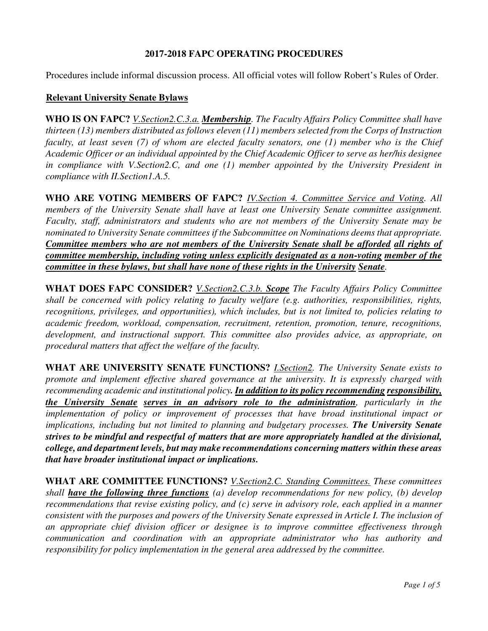## **2017-2018 FAPC OPERATING PROCEDURES**

Procedures include informal discussion process. All official votes will follow Robert's Rules of Order.

### **Relevant University Senate Bylaws**

**WHO IS ON FAPC?** *V.Section2.C.3.a. Membership. The Faculty Affairs Policy Committee shall have thirteen (13) members distributed as follows eleven (11) members selected from the Corps of Instruction faculty, at least seven (7) of whom are elected faculty senators, one (1) member who is the Chief Academic Officer or an individual appointed by the Chief Academic Officer to serve as her/his designee in compliance with V.Section2.C, and one (1) member appointed by the University President in compliance with II.Section1.A.5.* 

**WHO ARE VOTING MEMBERS OF FAPC?** *IV.Section 4. Committee Service and Voting. All members of the University Senate shall have at least one University Senate committee assignment. Faculty, staff, administrators and students who are not members of the University Senate may be nominated to University Senate committees if the Subcommittee on Nominations deems that appropriate. Committee members who are not members of the University Senate shall be afforded all rights of committee membership, including voting unless explicitly designated as a non-voting member of the committee in these bylaws, but shall have none of these rights in the University Senate.* 

**WHAT DOES FAPC CONSIDER?** *V.Section2.C.3.b. Scope The Faculty Affairs Policy Committee shall be concerned with policy relating to faculty welfare (e.g. authorities, responsibilities, rights, recognitions, privileges, and opportunities), which includes, but is not limited to, policies relating to academic freedom, workload, compensation, recruitment, retention, promotion, tenure, recognitions, development, and instructional support. This committee also provides advice, as appropriate, on procedural matters that affect the welfare of the faculty.* 

**WHAT ARE UNIVERSITY SENATE FUNCTIONS?** *I.Section2. The University Senate exists to promote and implement effective shared governance at the university. It is expressly charged with recommending academic and institutional policy. In addition to its policy recommending responsibility, the University Senate serves in an advisory role to the administration, particularly in the implementation of policy or improvement of processes that have broad institutional impact or implications, including but not limited to planning and budgetary processes. The University Senate strives to be mindful and respectful of matters that are more appropriately handled at the divisional, college, and department levels, but may make recommendations concerning matters within these areas that have broader institutional impact or implications.*

**WHAT ARE COMMITTEE FUNCTIONS?** *V.Section2.C. Standing Committees. These committees shall have the following three functions (a) develop recommendations for new policy, (b) develop recommendations that revise existing policy, and (c) serve in advisory role, each applied in a manner consistent with the purposes and powers of the University Senate expressed in Article I. The inclusion of an appropriate chief division officer or designee is to improve committee effectiveness through communication and coordination with an appropriate administrator who has authority and responsibility for policy implementation in the general area addressed by the committee.*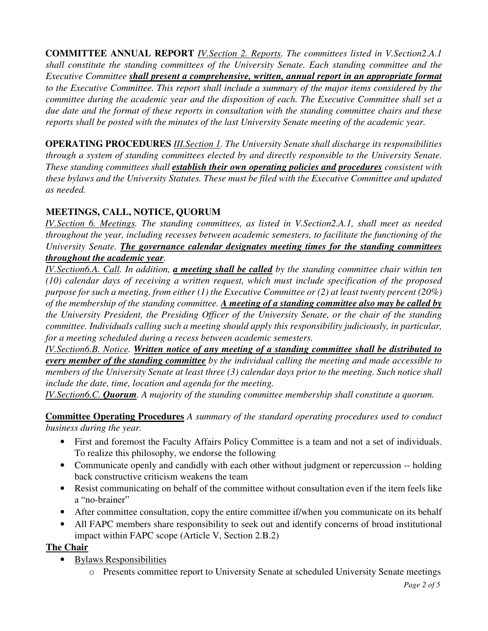**COMMITTEE ANNUAL REPORT** *IV.Section 2. Reports. The committees listed in V.Section2.A.1 shall constitute the standing committees of the University Senate. Each standing committee and the Executive Committee shall present a comprehensive, written, annual report in an appropriate format to the Executive Committee. This report shall include a summary of the major items considered by the committee during the academic year and the disposition of each. The Executive Committee shall set a due date and the format of these reports in consultation with the standing committee chairs and these reports shall be posted with the minutes of the last University Senate meeting of the academic year.* 

**OPERATING PROCEDURES** *III.Section 1. The University Senate shall discharge its responsibilities through a system of standing committees elected by and directly responsible to the University Senate. These standing committees shall establish their own operating policies and procedures consistent with these bylaws and the University Statutes. These must be filed with the Executive Committee and updated as needed.* 

# **MEETINGS, CALL, NOTICE, QUORUM**

*IV.Section 6. Meetings. The standing committees, as listed in V.Section2.A.1, shall meet as needed throughout the year, including recesses between academic semesters, to facilitate the functioning of the University Senate. The governance calendar designates meeting times for the standing committees throughout the academic year.*

*IV.Section6.A. Call. In addition, a meeting shall be called by the standing committee chair within ten (10) calendar days of receiving a written request, which must include specification of the proposed purpose for such a meeting, from either (1) the Executive Committee or (2) at least twenty percent (20%) of the membership of the standing committee. A meeting of a standing committee also may be called by the University President, the Presiding Officer of the University Senate, or the chair of the standing committee. Individuals calling such a meeting should apply this responsibility judiciously, in particular, for a meeting scheduled during a recess between academic semesters.*

*IV.Section6.B. Notice. Written notice of any meeting of a standing committee shall be distributed to every member of the standing committee by the individual calling the meeting and made accessible to members of the University Senate at least three (3) calendar days prior to the meeting. Such notice shall include the date, time, location and agenda for the meeting.*

*IV.Section6.C. Quorum. A majority of the standing committee membership shall constitute a quorum.*

**Committee Operating Procedures** *A summary of the standard operating procedures used to conduct business during the year.* 

- First and foremost the Faculty Affairs Policy Committee is a team and not a set of individuals. To realize this philosophy, we endorse the following
- Communicate openly and candidly with each other without judgment or repercussion -- holding back constructive criticism weakens the team
- Resist communicating on behalf of the committee without consultation even if the item feels like a "no-brainer"
- After committee consultation, copy the entire committee if/when you communicate on its behalf
- All FAPC members share responsibility to seek out and identify concerns of broad institutional impact within FAPC scope (Article V, Section 2.B.2)

## **The Chair**

- Bylaws Responsibilities
	- o Presents committee report to University Senate at scheduled University Senate meetings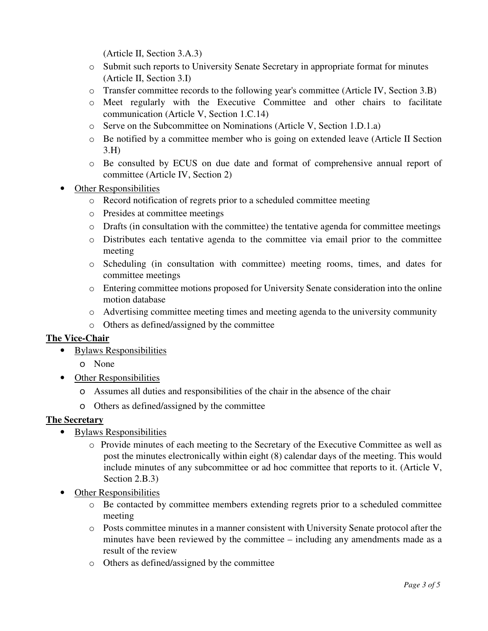(Article II, Section 3.A.3)

- o Submit such reports to University Senate Secretary in appropriate format for minutes (Article II, Section 3.I)
- o Transfer committee records to the following year's committee (Article IV, Section 3.B)
- o Meet regularly with the Executive Committee and other chairs to facilitate communication (Article V, Section 1.C.14)
- o Serve on the Subcommittee on Nominations (Article V, Section 1.D.1.a)
- o Be notified by a committee member who is going on extended leave (Article II Section 3.H)
- o Be consulted by ECUS on due date and format of comprehensive annual report of committee (Article IV, Section 2)
- **Other Responsibilities** 
	- o Record notification of regrets prior to a scheduled committee meeting
	- o Presides at committee meetings
	- o Drafts (in consultation with the committee) the tentative agenda for committee meetings
	- o Distributes each tentative agenda to the committee via email prior to the committee meeting
	- o Scheduling (in consultation with committee) meeting rooms, times, and dates for committee meetings
	- o Entering committee motions proposed for University Senate consideration into the online motion database
	- $\circ$  Advertising committee meeting times and meeting agenda to the university community
	- o Others as defined/assigned by the committee

## **The Vice-Chair**

- Bylaws Responsibilities
	- o None
- Other Responsibilities
	- o Assumes all duties and responsibilities of the chair in the absence of the chair
	- o Others as defined/assigned by the committee

## **The Secretary**

- Bylaws Responsibilities
	- o Provide minutes of each meeting to the Secretary of the Executive Committee as well as post the minutes electronically within eight (8) calendar days of the meeting. This would include minutes of any subcommittee or ad hoc committee that reports to it. (Article V, Section 2.B.3)
- Other Responsibilities
	- o Be contacted by committee members extending regrets prior to a scheduled committee meeting
	- o Posts committee minutes in a manner consistent with University Senate protocol after the minutes have been reviewed by the committee – including any amendments made as a result of the review
	- o Others as defined/assigned by the committee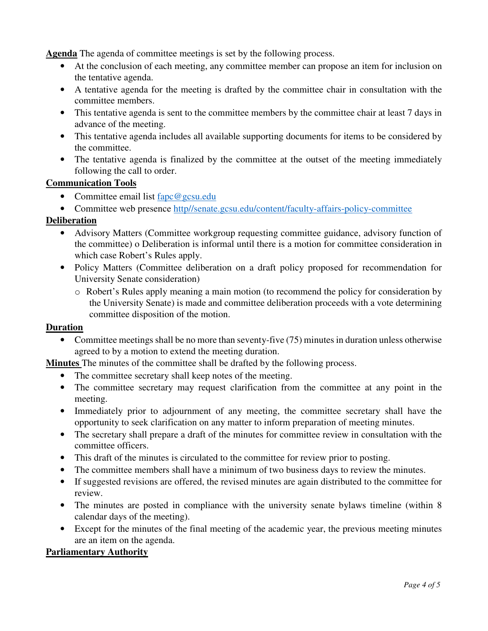**Agenda** The agenda of committee meetings is set by the following process.

- At the conclusion of each meeting, any committee member can propose an item for inclusion on the tentative agenda.
- A tentative agenda for the meeting is drafted by the committee chair in consultation with the committee members.
- This tentative agenda is sent to the committee members by the committee chair at least 7 days in advance of the meeting.
- This tentative agenda includes all available supporting documents for items to be considered by the committee.
- The tentative agenda is finalized by the committee at the outset of the meeting immediately following the call to order.

## **Communication Tools**

- Committee email list fapc@gcsu.edu
- Committee web presence http//senate.gcsu.edu/content/faculty-affairs-policy-committee

## **Deliberation**

- Advisory Matters (Committee workgroup requesting committee guidance, advisory function of the committee) o Deliberation is informal until there is a motion for committee consideration in which case Robert's Rules apply.
- Policy Matters (Committee deliberation on a draft policy proposed for recommendation for University Senate consideration)
	- o Robert's Rules apply meaning a main motion (to recommend the policy for consideration by the University Senate) is made and committee deliberation proceeds with a vote determining committee disposition of the motion.

#### **Duration**

• Committee meetings shall be no more than seventy-five (75) minutes in duration unless otherwise agreed to by a motion to extend the meeting duration.

**Minutes** The minutes of the committee shall be drafted by the following process.

- The committee secretary shall keep notes of the meeting.
- The committee secretary may request clarification from the committee at any point in the meeting.
- Immediately prior to adjournment of any meeting, the committee secretary shall have the opportunity to seek clarification on any matter to inform preparation of meeting minutes.
- The secretary shall prepare a draft of the minutes for committee review in consultation with the committee officers.
- This draft of the minutes is circulated to the committee for review prior to posting.
- The committee members shall have a minimum of two business days to review the minutes.
- If suggested revisions are offered, the revised minutes are again distributed to the committee for review.
- The minutes are posted in compliance with the university senate bylaws timeline (within 8) calendar days of the meeting).
- Except for the minutes of the final meeting of the academic year, the previous meeting minutes are an item on the agenda.

### **Parliamentary Authority**